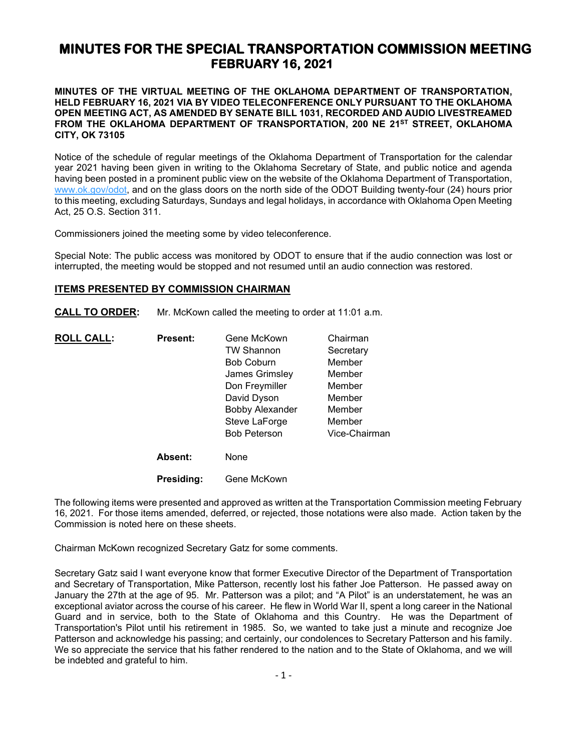# **MINUTES FOR THE SPECIAL TRANSPORTATION COMMISSION MEETING FEBRUARY 16, 2021**

### **MINUTES OF THE VIRTUAL MEETING OF THE OKLAHOMA DEPARTMENT OF TRANSPORTATION, HELD FEBRUARY 16, 2021 VIA BY VIDEO TELECONFERENCE ONLY PURSUANT TO THE OKLAHOMA OPEN MEETING ACT, AS AMENDED BY SENATE BILL 1031, RECORDED AND AUDIO LIVESTREAMED FROM THE OKLAHOMA DEPARTMENT OF TRANSPORTATION, 200 NE 21ST STREET, OKLAHOMA CITY, OK 73105**

Notice of the schedule of regular meetings of the Oklahoma Department of Transportation for the calendar year 2021 having been given in writing to the Oklahoma Secretary of State, and public notice and agenda having been posted in a prominent public view on the website of the Oklahoma Department of Transportation, [www.ok.gov/odot,](http://www.ok.gov/odot) and on the glass doors on the north side of the ODOT Building twenty-four (24) hours prior to this meeting, excluding Saturdays, Sundays and legal holidays, in accordance with Oklahoma Open Meeting Act, 25 O.S. Section 311.

Commissioners joined the meeting some by video teleconference.

Special Note: The public access was monitored by ODOT to ensure that if the audio connection was lost or interrupted, the meeting would be stopped and not resumed until an audio connection was restored.

### **ITEMS PRESENTED BY COMMISSION CHAIRMAN**

**CALL TO ORDER:** Mr. McKown called the meeting to order at 11:01 a.m.

| <b>ROLL CALL:</b> | <b>Present:</b> | Gene McKown            | Chairman      |
|-------------------|-----------------|------------------------|---------------|
|                   |                 | <b>TW Shannon</b>      | Secretary     |
|                   |                 | <b>Bob Coburn</b>      | Member        |
|                   |                 | James Grimsley         | Member        |
|                   |                 | Don Freymiller         | Member        |
|                   |                 | David Dyson            | Member        |
|                   |                 | <b>Bobby Alexander</b> | Member        |
|                   |                 | Steve LaForge          | Member        |
|                   |                 | <b>Bob Peterson</b>    | Vice-Chairman |
|                   | Absent:         | None                   |               |

**Presiding:** Gene McKown

The following items were presented and approved as written at the Transportation Commission meeting February 16, 2021. For those items amended, deferred, or rejected, those notations were also made. Action taken by the Commission is noted here on these sheets.

Chairman McKown recognized Secretary Gatz for some comments.

Secretary Gatz said I want everyone know that former Executive Director of the Department of Transportation and Secretary of Transportation, Mike Patterson, recently lost his father Joe Patterson. He passed away on January the 27th at the age of 95. Mr. Patterson was a pilot; and "A Pilot" is an understatement, he was an exceptional aviator across the course of his career. He flew in World War II, spent a long career in the National Guard and in service, both to the State of Oklahoma and this Country. He was the Department of Transportation's Pilot until his retirement in 1985. So, we wanted to take just a minute and recognize Joe Patterson and acknowledge his passing; and certainly, our condolences to Secretary Patterson and his family. We so appreciate the service that his father rendered to the nation and to the State of Oklahoma, and we will be indebted and grateful to him.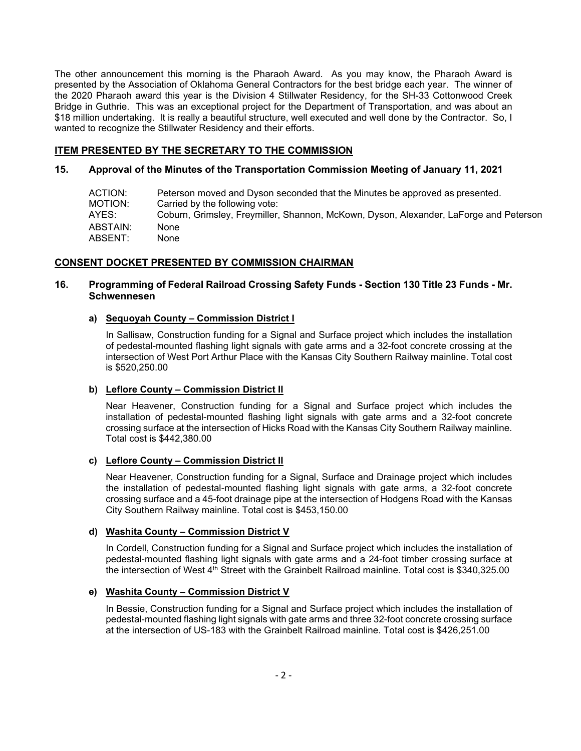The other announcement this morning is the Pharaoh Award. As you may know, the Pharaoh Award is presented by the Association of Oklahoma General Contractors for the best bridge each year. The winner of the 2020 Pharaoh award this year is the Division 4 Stillwater Residency, for the SH-33 Cottonwood Creek Bridge in Guthrie. This was an exceptional project for the Department of Transportation, and was about an \$18 million undertaking. It is really a beautiful structure, well executed and well done by the Contractor. So, I wanted to recognize the Stillwater Residency and their efforts.

# **ITEM PRESENTED BY THE SECRETARY TO THE COMMISSION**

# **15. Approval of the Minutes of the Transportation Commission Meeting of January 11, 2021**

| ACTION:<br>MOTION: | Peterson moved and Dyson seconded that the Minutes be approved as presented.<br>Carried by the following vote: |
|--------------------|----------------------------------------------------------------------------------------------------------------|
| AYES:              | Coburn, Grimsley, Freymiller, Shannon, McKown, Dyson, Alexander, LaForge and Peterson                          |
| ABSTAIN:           | None                                                                                                           |
| ABSENT:            | None                                                                                                           |

# **CONSENT DOCKET PRESENTED BY COMMISSION CHAIRMAN**

# **16. Programming of Federal Railroad Crossing Safety Funds - Section 130 Title 23 Funds - Mr. Schwennesen**

# **a) Sequoyah County – Commission District I**

In Sallisaw, Construction funding for a Signal and Surface project which includes the installation of pedestal-mounted flashing light signals with gate arms and a 32-foot concrete crossing at the intersection of West Port Arthur Place with the Kansas City Southern Railway mainline. Total cost is \$520,250.00

# **b) Leflore County – Commission District II**

Near Heavener, Construction funding for a Signal and Surface project which includes the installation of pedestal-mounted flashing light signals with gate arms and a 32-foot concrete crossing surface at the intersection of Hicks Road with the Kansas City Southern Railway mainline. Total cost is \$442,380.00

### **c) Leflore County – Commission District II**

Near Heavener, Construction funding for a Signal, Surface and Drainage project which includes the installation of pedestal-mounted flashing light signals with gate arms, a 32-foot concrete crossing surface and a 45-foot drainage pipe at the intersection of Hodgens Road with the Kansas City Southern Railway mainline. Total cost is \$453,150.00

# **d) Washita County – Commission District V**

In Cordell, Construction funding for a Signal and Surface project which includes the installation of pedestal-mounted flashing light signals with gate arms and a 24-foot timber crossing surface at the intersection of West 4<sup>th</sup> Street with the Grainbelt Railroad mainline. Total cost is \$340,325.00

# **e) Washita County – Commission District V**

In Bessie, Construction funding for a Signal and Surface project which includes the installation of pedestal-mounted flashing light signals with gate arms and three 32-foot concrete crossing surface at the intersection of US-183 with the Grainbelt Railroad mainline. Total cost is \$426,251.00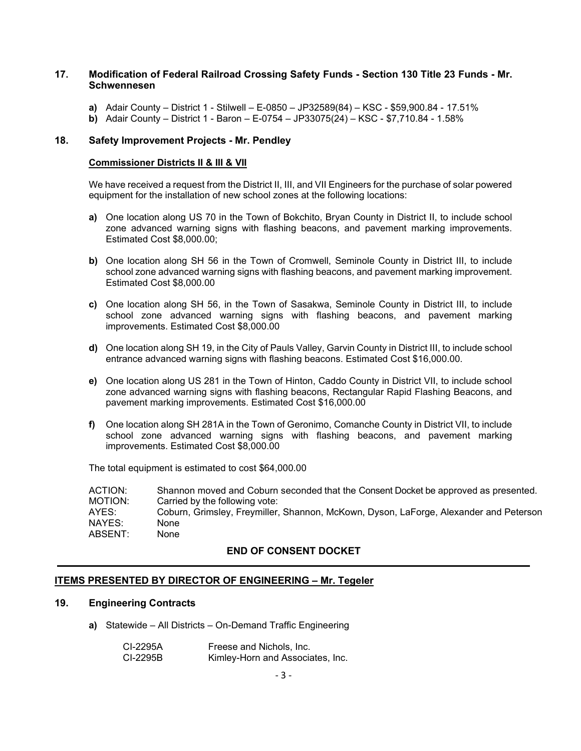### **17. Modification of Federal Railroad Crossing Safety Funds - Section 130 Title 23 Funds - Mr. Schwennesen**

- **a)** Adair County District 1 Stilwell E-0850 JP32589(84) KSC \$59,900.84 17.51%
- **b)** Adair County District 1 Baron E-0754 JP33075(24) KSC \$7,710.84 1.58%

### **18. Safety Improvement Projects - Mr. Pendley**

#### **Commissioner Districts II & III & VII**

We have received a request from the District II, III, and VII Engineers for the purchase of solar powered equipment for the installation of new school zones at the following locations:

- **a)** One location along US 70 in the Town of Bokchito, Bryan County in District II, to include school zone advanced warning signs with flashing beacons, and pavement marking improvements. Estimated Cost \$8,000.00;
- **b)** One location along SH 56 in the Town of Cromwell, Seminole County in District III, to include school zone advanced warning signs with flashing beacons, and pavement marking improvement. Estimated Cost \$8,000.00
- **c)** One location along SH 56, in the Town of Sasakwa, Seminole County in District III, to include school zone advanced warning signs with flashing beacons, and pavement marking improvements. Estimated Cost \$8,000.00
- **d)** One location along SH 19, in the City of Pauls Valley, Garvin County in District III, to include school entrance advanced warning signs with flashing beacons. Estimated Cost \$16,000.00.
- **e)** One location along US 281 in the Town of Hinton, Caddo County in District VII, to include school zone advanced warning signs with flashing beacons, Rectangular Rapid Flashing Beacons, and pavement marking improvements. Estimated Cost \$16,000.00
- **f)** One location along SH 281A in the Town of Geronimo, Comanche County in District VII, to include school zone advanced warning signs with flashing beacons, and pavement marking improvements. Estimated Cost \$8,000.00

The total equipment is estimated to cost \$64,000.00

ACTION: Shannon moved and Coburn seconded that the Consent Docket be approved as presented.<br>MOTION: Carried by the following vote: Carried by the following vote: AYES: Coburn, Grimsley, Freymiller, Shannon, McKown, Dyson, LaForge, Alexander and Peterson NAYES: None ABSENT: None

### **END OF CONSENT DOCKET**

### **ITEMS PRESENTED BY DIRECTOR OF ENGINEERING – Mr. Tegeler**

#### **19. Engineering Contracts**

**a)** Statewide – All Districts – On-Demand Traffic Engineering

| CI-2295A | Freese and Nichols, Inc.         |
|----------|----------------------------------|
| CI-2295B | Kimley-Horn and Associates, Inc. |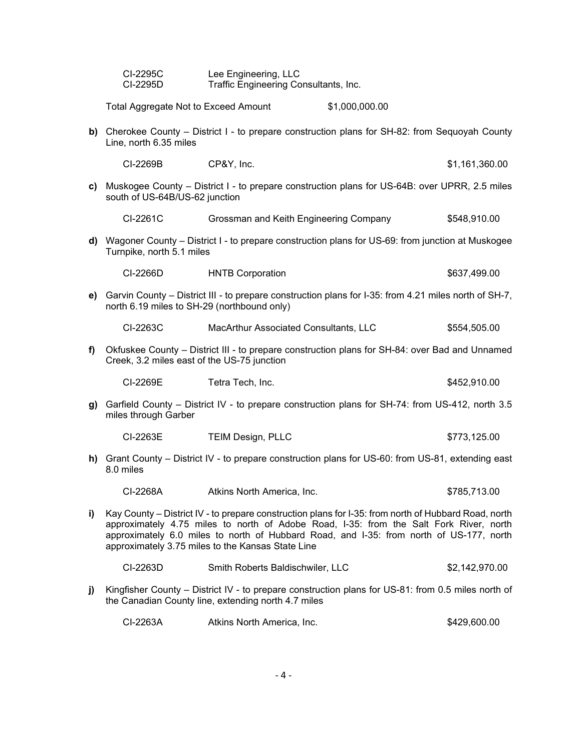| CI-2295C | Lee Engineering, LLC                  |
|----------|---------------------------------------|
| CI-2295D | Traffic Engineering Consultants, Inc. |

Total Aggregate Not to Exceed Amount \$1,000,000.00

**b)** Cherokee County – District I - to prepare construction plans for SH-82: from Sequoyah County Line, north 6.35 miles

CI-2269B CP&Y, Inc. \$1,161,360.00

**c)** Muskogee County – District I - to prepare construction plans for US-64B: over UPRR, 2.5 miles south of US-64B/US-62 junction

CI-2261C Grossman and Keith Engineering Company \$548,910.00

**d)** Wagoner County – District I - to prepare construction plans for US-69: from junction at Muskogee Turnpike, north 5.1 miles

| CI-2266D<br><b>HNTB Corporation</b> |  | \$637,499.00 |
|-------------------------------------|--|--------------|
|-------------------------------------|--|--------------|

**e)** Garvin County – District III - to prepare construction plans for I-35: from 4.21 miles north of SH-7, north 6.19 miles to SH-29 (northbound only)

CI-2263C MacArthur Associated Consultants, LLC \$554,505.00

**f)** Okfuskee County – District III - to prepare construction plans for SH-84: over Bad and Unnamed Creek, 3.2 miles east of the US-75 junction

| CI-2269E | Tetra Tech. Inc. | \$452,910.00 |
|----------|------------------|--------------|
|          |                  |              |

**g)** Garfield County – District IV - to prepare construction plans for SH-74: from US-412, north 3.5 miles through Garber

CI-2263E TEIM Design, PLLC \$773,125.00

**h)** Grant County – District IV - to prepare construction plans for US-60: from US-81, extending east 8.0 miles

CI-2268A Atkins North America, Inc. \$785,713.00

- **i)** Kay County District IV to prepare construction plans for I-35: from north of Hubbard Road, north approximately 4.75 miles to north of Adobe Road, I-35: from the Salt Fork River, north approximately 6.0 miles to north of Hubbard Road, and I-35: from north of US-177, north approximately 3.75 miles to the Kansas State Line
	- CI-2263D Smith Roberts Baldischwiler, LLC \$2,142,970.00
- **j)** Kingfisher County District IV to prepare construction plans for US-81: from 0.5 miles north of the Canadian County line, extending north 4.7 miles

| CI-2263A | Atkins North America. Inc. | \$429,600.00 |
|----------|----------------------------|--------------|
|----------|----------------------------|--------------|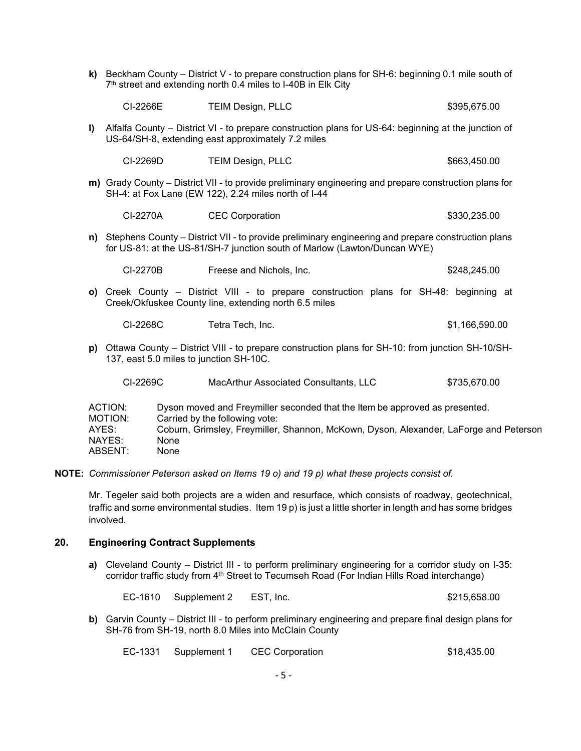| k)                                                                                                                                              | Beckham County – District V - to prepare construction plans for SH-6: beginning 0.1 mile south of<br>7th street and extending north 0.4 miles to I-40B in Elk City                 |                                                                                                                                                                |  |                |  |
|-------------------------------------------------------------------------------------------------------------------------------------------------|------------------------------------------------------------------------------------------------------------------------------------------------------------------------------------|----------------------------------------------------------------------------------------------------------------------------------------------------------------|--|----------------|--|
|                                                                                                                                                 | CI-2266E                                                                                                                                                                           | <b>TEIM Design, PLLC</b>                                                                                                                                       |  | \$395,675.00   |  |
| $\mathbf{I}$                                                                                                                                    |                                                                                                                                                                                    | Alfalfa County - District VI - to prepare construction plans for US-64: beginning at the junction of<br>US-64/SH-8, extending east approximately 7.2 miles     |  |                |  |
|                                                                                                                                                 | CI-2269D                                                                                                                                                                           | <b>TEIM Design, PLLC</b>                                                                                                                                       |  | \$663,450.00   |  |
|                                                                                                                                                 |                                                                                                                                                                                    | m) Grady County - District VII - to provide preliminary engineering and prepare construction plans for<br>SH-4: at Fox Lane (EW 122), 2.24 miles north of I-44 |  |                |  |
|                                                                                                                                                 | CI-2270A                                                                                                                                                                           | <b>CEC Corporation</b>                                                                                                                                         |  | \$330,235.00   |  |
|                                                                                                                                                 | n) Stephens County - District VII - to provide preliminary engineering and prepare construction plans<br>for US-81: at the US-81/SH-7 junction south of Marlow (Lawton/Duncan WYE) |                                                                                                                                                                |  |                |  |
|                                                                                                                                                 | CI-2270B                                                                                                                                                                           | Freese and Nichols, Inc.                                                                                                                                       |  | \$248,245.00   |  |
|                                                                                                                                                 | o) Creek County – District VIII - to prepare construction plans for SH-48: beginning at<br>Creek/Okfuskee County line, extending north 6.5 miles                                   |                                                                                                                                                                |  |                |  |
|                                                                                                                                                 | CI-2268C                                                                                                                                                                           | Tetra Tech, Inc.                                                                                                                                               |  | \$1,166,590.00 |  |
| p) Ottawa County – District VIII - to prepare construction plans for SH-10: from junction SH-10/SH-<br>137, east 5.0 miles to junction SH-10C.  |                                                                                                                                                                                    |                                                                                                                                                                |  |                |  |
|                                                                                                                                                 | CI-2269C                                                                                                                                                                           | MacArthur Associated Consultants, LLC                                                                                                                          |  | \$735,670.00   |  |
| ACTION:<br>Dyson moved and Freymiller seconded that the Item be approved as presented.<br>MOTION <sub>'</sub><br>Carried by the following vote: |                                                                                                                                                                                    |                                                                                                                                                                |  |                |  |

| MOTION: | Carried by the following vote:                                                        |
|---------|---------------------------------------------------------------------------------------|
| AYES:   | Coburn, Grimsley, Freymiller, Shannon, McKown, Dyson, Alexander, LaForge and Peterson |
| NAYES:  | None                                                                                  |
| ABSENT: | None                                                                                  |

**NOTE:** *Commissioner Peterson asked on Items 19 o) and 19 p) what these projects consist of.* 

Mr. Tegeler said both projects are a widen and resurface, which consists of roadway, geotechnical, traffic and some environmental studies. Item 19 p) is just a little shorter in length and has some bridges involved.

# **20. Engineering Contract Supplements**

**a)** Cleveland County – District III - to perform preliminary engineering for a corridor study on I-35: corridor traffic study from 4<sup>th</sup> Street to Tecumseh Road (For Indian Hills Road interchange)

EC-1610 Supplement 2 EST, Inc. 6215,658.00

**b)** Garvin County – District III - to perform preliminary engineering and prepare final design plans for SH-76 from SH-19, north 8.0 Miles into McClain County

| EC-1331 Supplement 1 | <b>CEC Corporation</b> | \$18,435.00 |
|----------------------|------------------------|-------------|
|                      |                        |             |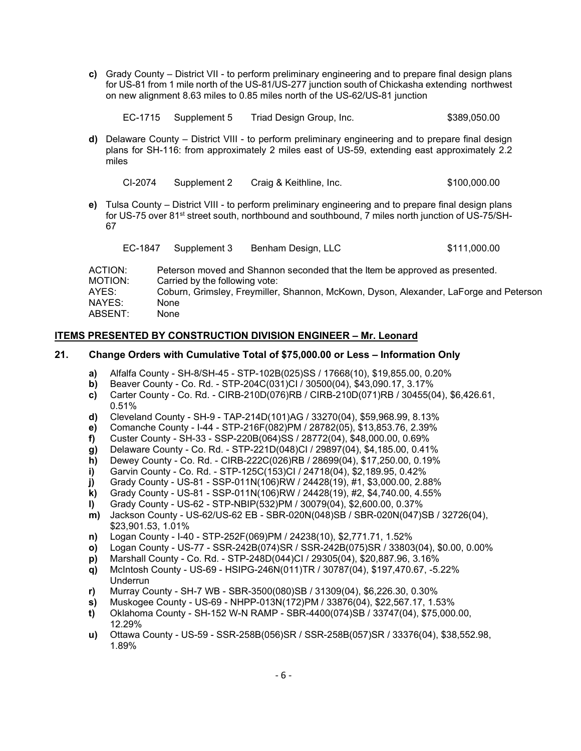**c)** Grady County – District VII - to perform preliminary engineering and to prepare final design plans for US-81 from 1 mile north of the US-81/US-277 junction south of Chickasha extending northwest on new alignment 8.63 miles to 0.85 miles north of the US-62/US-81 junction

| EC-1715 Supplement 5 | Triad Design Group, Inc. | \$389,050.00 |
|----------------------|--------------------------|--------------|
|                      |                          |              |

**d)** Delaware County – District VIII - to perform preliminary engineering and to prepare final design plans for SH-116: from approximately 2 miles east of US-59, extending east approximately 2.2 miles

| CI-2074 | Supplement 2 | Craig & Keithline, Inc. | \$100,000.00 |
|---------|--------------|-------------------------|--------------|
|         |              |                         |              |

**e)** Tulsa County – District VIII - to perform preliminary engineering and to prepare final design plans for US-75 over 81<sup>st</sup> street south, northbound and southbound, 7 miles north junction of US-75/SH-67

| EC-1847 Supplement 3 | Benham Design, LLC | \$111,000.00 |
|----------------------|--------------------|--------------|
|                      |                    |              |

| ACTION: | Peterson moved and Shannon seconded that the Item be approved as presented.           |
|---------|---------------------------------------------------------------------------------------|
|         |                                                                                       |
| MOTION: | Carried by the following vote:                                                        |
| AYES:   | Coburn, Grimsley, Freymiller, Shannon, McKown, Dyson, Alexander, LaForge and Peterson |
| NAYES:  | None                                                                                  |
| ABSENT: | None                                                                                  |

### **ITEMS PRESENTED BY CONSTRUCTION DIVISION ENGINEER – Mr. Leonard**

### **21. Change Orders with Cumulative Total of \$75,000.00 or Less – Information Only**

- **a)** Alfalfa County SH-8/SH-45 STP-102B(025)SS / 17668(10), \$19,855.00, 0.20%
- **b)** Beaver County Co. Rd. STP-204C(031)CI / 30500(04), \$43,090.17, 3.17%
- **c)** Carter County Co. Rd. CIRB-210D(076)RB / CIRB-210D(071)RB / 30455(04), \$6,426.61, 0.51%
- **d)** Cleveland County SH-9 TAP-214D(101)AG / 33270(04), \$59,968.99, 8.13%
- **e)** Comanche County I-44 STP-216F(082)PM / 28782(05), \$13,853.76, 2.39%
- **f)** Custer County SH-33 SSP-220B(064)SS / 28772(04), \$48,000.00, 0.69%
- **g)** Delaware County Co. Rd. STP-221D(048)CI / 29897(04), \$4,185.00, 0.41%
- **h)** Dewey County Co. Rd. CIRB-222C(026)RB / 28699(04), \$17,250.00, 0.19%
- **i)** Garvin County Co. Rd. STP-125C(153)CI / 24718(04), \$2,189.95, 0.42%
- **j)** Grady County US-81 SSP-011N(106)RW / 24428(19), #1, \$3,000.00, 2.88%
- **k)** Grady County US-81 SSP-011N(106)RW / 24428(19), #2, \$4,740.00, 4.55%
- **l)** Grady County US-62 STP-NBIP(532)PM / 30079(04), \$2,600.00, 0.37%
- **m)** Jackson County US-62/US-62 EB SBR-020N(048)SB / SBR-020N(047)SB / 32726(04), \$23,901.53, 1.01%
- **n)** Logan County I-40 STP-252F(069)PM / 24238(10), \$2,771.71, 1.52%
- **o)** Logan County US-77 SSR-242B(074)SR / SSR-242B(075)SR / 33803(04), \$0.00, 0.00%
- **p)** Marshall County Co. Rd. STP-248D(044)CI / 29305(04), \$20,887.96, 3.16%
- **q)** McIntosh County US-69 HSIPG-246N(011)TR / 30787(04), \$197,470.67, -5.22% Underrun
- **r)** Murray County SH-7 WB SBR-3500(080)SB / 31309(04), \$6,226.30, 0.30%
- **s)** Muskogee County US-69 NHPP-013N(172)PM / 33876(04), \$22,567.17, 1.53%
- **t)** Oklahoma County SH-152 W-N RAMP SBR-4400(074)SB / 33747(04), \$75,000.00, 12.29%
- **u)** Ottawa County US-59 SSR-258B(056)SR / SSR-258B(057)SR / 33376(04), \$38,552.98, 1.89%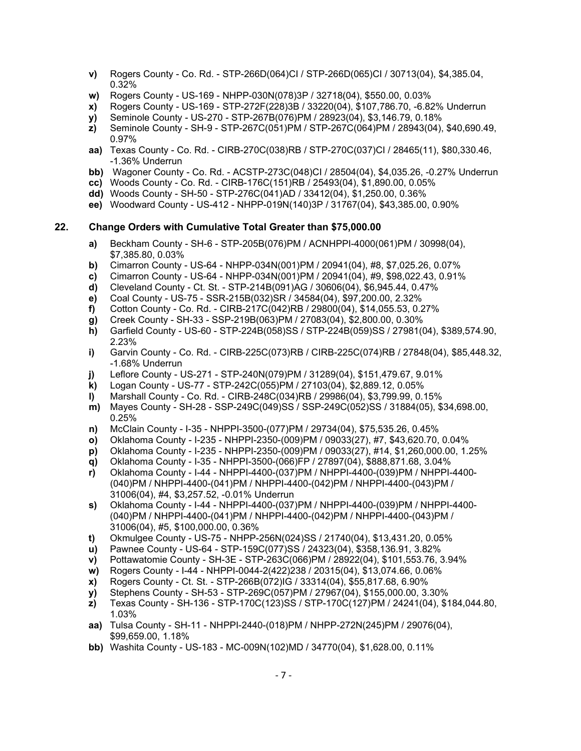- **v)** Rogers County Co. Rd. STP-266D(064)CI / STP-266D(065)CI / 30713(04), \$4,385.04, 0.32%
- **w)** Rogers County US-169 NHPP-030N(078)3P / 32718(04), \$550.00, 0.03%
- **x)** Rogers County US-169 STP-272F(228)3B / 33220(04), \$107,786.70, -6.82% Underrun
- **y)** Seminole County US-270 STP-267B(076)PM / 28923(04), \$3,146.79, 0.18%
- **z)** Seminole County SH-9 STP-267C(051)PM / STP-267C(064)PM / 28943(04), \$40,690.49, 0.97%
- **aa)** Texas County Co. Rd. CIRB-270C(038)RB / STP-270C(037)CI / 28465(11), \$80,330.46, -1.36% Underrun
- **bb)** Wagoner County Co. Rd. ACSTP-273C(048)CI / 28504(04), \$4,035.26, -0.27% Underrun
- **cc)** Woods County Co. Rd. CIRB-176C(151)RB / 25493(04), \$1,890.00, 0.05%
- **dd)** Woods County SH-50 STP-276C(041)AD / 33412(04), \$1,250.00, 0.36%
- **ee)** Woodward County US-412 NHPP-019N(140)3P / 31767(04), \$43,385.00, 0.90%

# **22. Change Orders with Cumulative Total Greater than \$75,000.00**

- **a)** Beckham County SH-6 STP-205B(076)PM / ACNHPPI-4000(061)PM / 30998(04), \$7,385.80, 0.03%
- **b)** Cimarron County US-64 NHPP-034N(001)PM / 20941(04), #8, \$7,025.26, 0.07% <br>**c)** Cimarron County US-64 NHPP-034N(001)PM / 20941(04), #9, \$98,022.43, 0.91%
- **c)** Cimarron County US-64 NHPP-034N(001)PM / 20941(04), #9, \$98,022.43, 0.91%
- **d)** Cleveland County Ct. St. STP-214B(091)AG / 30606(04), \$6,945.44, 0.47%
- **e)** Coal County US-75 SSR-215B(032)SR / 34584(04), \$97,200.00, 2.32%
- **f)** Cotton County Co. Rd. CIRB-217C(042)RB / 29800(04), \$14,055.53, 0.27%
- **g)** Creek County SH-33 SSP-219B(063)PM / 27083(04), \$2,800.00, 0.30%
- **h)** Garfield County US-60 STP-224B(058)SS / STP-224B(059)SS / 27981(04), \$389,574.90, 2.23%
- **i)** Garvin County Co. Rd. CIRB-225C(073)RB / CIRB-225C(074)RB / 27848(04), \$85,448.32, -1.68% Underrun
- **j)** Leflore County US-271 STP-240N(079)PM / 31289(04), \$151,479.67, 9.01%
- **k)** Logan County US-77 STP-242C(055)PM / 27103(04), \$2,889.12, 0.05%
- **l)** Marshall County Co. Rd. CIRB-248C(034)RB / 29986(04), \$3,799.99, 0.15%
- **m)** Mayes County SH-28 SSP-249C(049)SS / SSP-249C(052)SS / 31884(05), \$34,698.00, 0.25%
- **n)** McClain County I-35 NHPPI-3500-(077)PM / 29734(04), \$75,535.26, 0.45%
- **o)** Oklahoma County I-235 NHPPI-2350-(009)PM / 09033(27), #7, \$43,620.70, 0.04%
- **p)** Oklahoma County I-235 NHPPI-2350-(009)PM / 09033(27), #14, \$1,260,000.00, 1.25%
- **q)** Oklahoma County I-35 NHPPI-3500-(066)FP / 27897(04), \$888,871.68, 3.04%
- **r)** Oklahoma County I-44 NHPPI-4400-(037)PM / NHPPI-4400-(039)PM / NHPPI-4400- (040)PM / NHPPI-4400-(041)PM / NHPPI-4400-(042)PM / NHPPI-4400-(043)PM / 31006(04), #4, \$3,257.52, -0.01% Underrun
- **s)** Oklahoma County I-44 NHPPI-4400-(037)PM / NHPPI-4400-(039)PM / NHPPI-4400- (040)PM / NHPPI-4400-(041)PM / NHPPI-4400-(042)PM / NHPPI-4400-(043)PM / 31006(04), #5, \$100,000.00, 0.36%
- **t)** Okmulgee County US-75 NHPP-256N(024)SS / 21740(04), \$13,431.20, 0.05%
- **u)** Pawnee County US-64 STP-159C(077)SS / 24323(04), \$358,136.91, 3.82%
- **v)** Pottawatomie County SH-3E STP-263C(066)PM / 28922(04), \$101,553.76, 3.94%
- **w)** Rogers County I-44 NHPPI-0044-2(422)238 / 20315(04), \$13,074.66, 0.06%
- **x)** Rogers County Ct. St. STP-266B(072)IG / 33314(04), \$55,817.68, 6.90%
- **y)** Stephens County SH-53 STP-269C(057)PM / 27967(04), \$155,000.00, 3.30%
- **z)** Texas County SH-136 STP-170C(123)SS / STP-170C(127)PM / 24241(04), \$184,044.80, 1.03%
- **aa)** Tulsa County SH-11 NHPPI-2440-(018)PM / NHPP-272N(245)PM / 29076(04), \$99,659.00, 1.18%
- **bb)** Washita County US-183 MC-009N(102)MD / 34770(04), \$1,628.00, 0.11%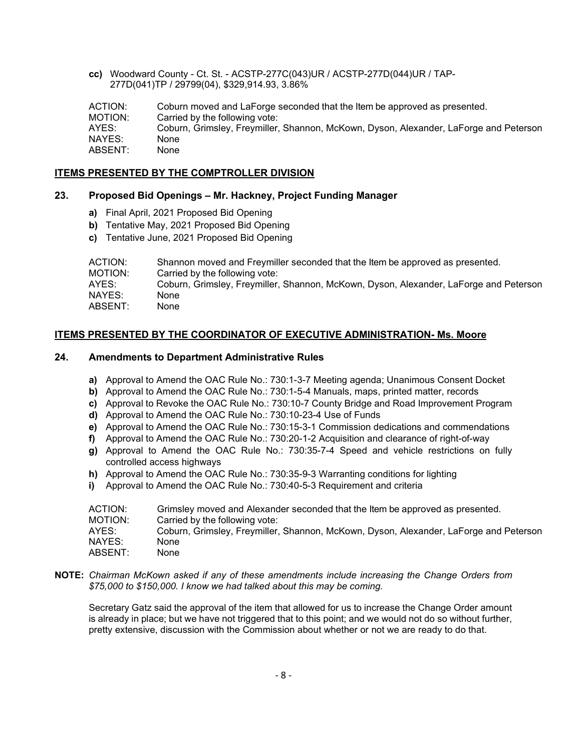**cc)** Woodward County - Ct. St. - ACSTP-277C(043)UR / ACSTP-277D(044)UR / TAP- 277D(041)TP / 29799(04), \$329,914.93, 3.86%

ACTION: Coburn moved and LaForge seconded that the Item be approved as presented. MOTION: Carried by the following vote: AYES: Coburn, Grimsley, Freymiller, Shannon, McKown, Dyson, Alexander, LaForge and Peterson NAYES: None ABSENT: None

### **ITEMS PRESENTED BY THE COMPTROLLER DIVISION**

### **23. Proposed Bid Openings – Mr. Hackney, Project Funding Manager**

- **a)** Final April, 2021 Proposed Bid Opening
- **b)** Tentative May, 2021 Proposed Bid Opening
- **c)** Tentative June, 2021 Proposed Bid Opening

| ACTION: | Shannon moved and Freymiller seconded that the Item be approved as presented.         |
|---------|---------------------------------------------------------------------------------------|
| MOTION: | Carried by the following vote:                                                        |
| AYES:   | Coburn, Grimsley, Freymiller, Shannon, McKown, Dyson, Alexander, LaForge and Peterson |
| NAYES:  | None                                                                                  |
| ABSENT: | None                                                                                  |

# **ITEMS PRESENTED BY THE COORDINATOR OF EXECUTIVE ADMINISTRATION- Ms. Moore**

### **24. Amendments to Department Administrative Rules**

- **a)** Approval to Amend the OAC Rule No.: 730:1-3-7 Meeting agenda; Unanimous Consent Docket
- **b)** Approval to Amend the OAC Rule No.: 730:1-5-4 Manuals, maps, printed matter, records
- **c)** Approval to Revoke the OAC Rule No.: 730:10-7 County Bridge and Road Improvement Program
- **d)** Approval to Amend the OAC Rule No.: 730:10-23-4 Use of Funds
- **e)** Approval to Amend the OAC Rule No.: 730:15-3-1 Commission dedications and commendations
- **f)** Approval to Amend the OAC Rule No.: 730:20-1-2 Acquisition and clearance of right-of-way
- **g)** Approval to Amend the OAC Rule No.: 730:35-7-4 Speed and vehicle restrictions on fully controlled access highways
- **h)** Approval to Amend the OAC Rule No.: 730:35-9-3 Warranting conditions for lighting
- **i)** Approval to Amend the OAC Rule No.: 730:40-5-3 Requirement and criteria

| ACTION: | Grimsley moved and Alexander seconded that the Item be approved as presented.         |
|---------|---------------------------------------------------------------------------------------|
| MOTION: | Carried by the following vote:                                                        |
| AYES:   | Coburn, Grimsley, Freymiller, Shannon, McKown, Dyson, Alexander, LaForge and Peterson |
| NAYES:  | None                                                                                  |
| ABSENT: | None                                                                                  |

**NOTE:** *Chairman McKown asked if any of these amendments include increasing the Change Orders from \$75,000 to \$150,000. I know we had talked about this may be coming.*

Secretary Gatz said the approval of the item that allowed for us to increase the Change Order amount is already in place; but we have not triggered that to this point; and we would not do so without further, pretty extensive, discussion with the Commission about whether or not we are ready to do that.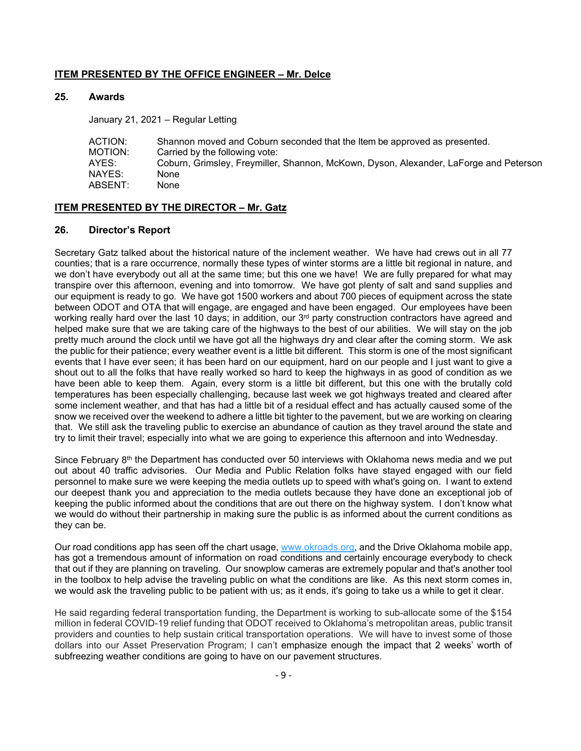### **ITEM PRESENTED BY THE OFFICE ENGINEER – Mr. Delce**

### **25. Awards**

January 21, 2021 – Regular Letting

| ACTION: | Shannon moved and Coburn seconded that the Item be approved as presented.             |
|---------|---------------------------------------------------------------------------------------|
| MOTION: | Carried by the following vote:                                                        |
| AYES:   | Coburn, Grimsley, Freymiller, Shannon, McKown, Dyson, Alexander, LaForge and Peterson |
| NAYES:  | None                                                                                  |
| ABSENT: | None                                                                                  |

### **ITEM PRESENTED BY THE DIRECTOR – Mr. Gatz**

### **26. Director's Report**

Secretary Gatz talked about the historical nature of the inclement weather. We have had crews out in all 77 counties; that is a rare occurrence, normally these types of winter storms are a little bit regional in nature, and we don't have everybody out all at the same time; but this one we have! We are fully prepared for what may transpire over this afternoon, evening and into tomorrow. We have got plenty of salt and sand supplies and our equipment is ready to go. We have got 1500 workers and about 700 pieces of equipment across the state between ODOT and OTA that will engage, are engaged and have been engaged. Our employees have been working really hard over the last 10 days; in addition, our  $3<sup>rd</sup>$  party construction contractors have agreed and helped make sure that we are taking care of the highways to the best of our abilities. We will stay on the job pretty much around the clock until we have got all the highways dry and clear after the coming storm. We ask the public for their patience; every weather event is a little bit different. This storm is one of the most significant events that I have ever seen; it has been hard on our equipment, hard on our people and I just want to give a shout out to all the folks that have really worked so hard to keep the highways in as good of condition as we have been able to keep them. Again, every storm is a little bit different, but this one with the brutally cold temperatures has been especially challenging, because last week we got highways treated and cleared after some inclement weather, and that has had a little bit of a residual effect and has actually caused some of the snow we received over the weekend to adhere a little bit tighter to the pavement, but we are working on clearing that. We still ask the traveling public to exercise an abundance of caution as they travel around the state and try to limit their travel; especially into what we are going to experience this afternoon and into Wednesday.

Since February  $8<sup>th</sup>$  the Department has conducted over 50 interviews with Oklahoma news media and we put out about 40 traffic advisories. Our Media and Public Relation folks have stayed engaged with our field personnel to make sure we were keeping the media outlets up to speed with what's going on. I want to extend our deepest thank you and appreciation to the media outlets because they have done an exceptional job of keeping the public informed about the conditions that are out there on the highway system. I don't know what we would do without their partnership in making sure the public is as informed about the current conditions as they can be.

Our road conditions app has seen off the chart usage, [www.okroads.org,](http://www.okroads.org/) and the Drive Oklahoma mobile app, has got a tremendous amount of information on road conditions and certainly encourage everybody to check that out if they are planning on traveling. Our snowplow cameras are extremely popular and that's another tool in the toolbox to help advise the traveling public on what the conditions are like. As this next storm comes in, we would ask the traveling public to be patient with us; as it ends, it's going to take us a while to get it clear.

He said regarding federal transportation funding, the Department is working to sub-allocate some of the \$154 million in federal COVID-19 relief funding that ODOT received to Oklahoma's metropolitan areas, public transit providers and counties to help sustain critical transportation operations. We will have to invest some of those dollars into our Asset Preservation Program; I can't emphasize enough the impact that 2 weeks' worth of subfreezing weather conditions are going to have on our pavement structures.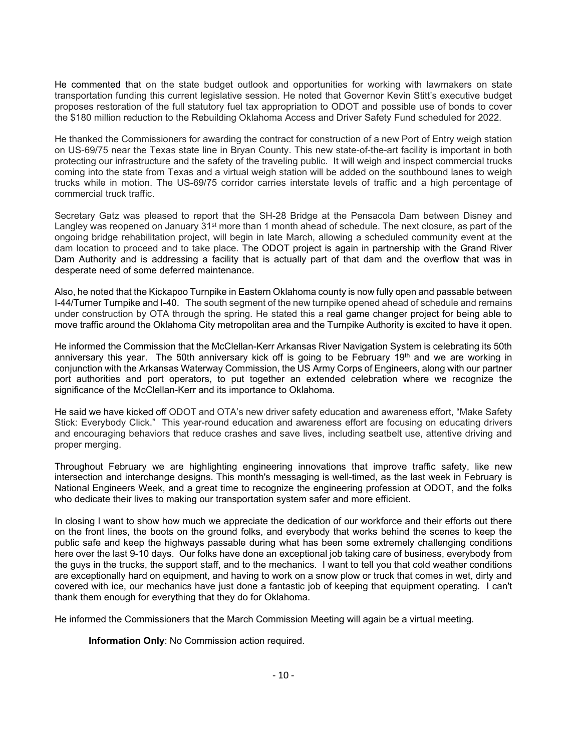He commented that on the state budget outlook and opportunities for working with lawmakers on state transportation funding this current legislative session. He noted that Governor Kevin Stitt's executive budget proposes restoration of the full statutory fuel tax appropriation to ODOT and possible use of bonds to cover the \$180 million reduction to the Rebuilding Oklahoma Access and Driver Safety Fund scheduled for 2022.

He thanked the Commissioners for awarding the contract for construction of a new Port of Entry weigh station on US-69/75 near the Texas state line in Bryan County. This new state-of-the-art facility is important in both protecting our infrastructure and the safety of the traveling public. It will weigh and inspect commercial trucks coming into the state from Texas and a virtual weigh station will be added on the southbound lanes to weigh trucks while in motion. The US-69/75 corridor carries interstate levels of traffic and a high percentage of commercial truck traffic.

Secretary Gatz was pleased to report that the SH-28 Bridge at the Pensacola Dam between Disney and Langley was reopened on January 31<sup>st</sup> more than 1 month ahead of schedule. The next closure, as part of the ongoing bridge rehabilitation project, will begin in late March, allowing a scheduled community event at the dam location to proceed and to take place. The ODOT project is again in partnership with the Grand River Dam Authority and is addressing a facility that is actually part of that dam and the overflow that was in desperate need of some deferred maintenance.

Also, he noted that the Kickapoo Turnpike in Eastern Oklahoma county is now fully open and passable between I-44/Turner Turnpike and I-40. The south segment of the new turnpike opened ahead of schedule and remains under construction by OTA through the spring. He stated this a real game changer project for being able to move traffic around the Oklahoma City metropolitan area and the Turnpike Authority is excited to have it open.

He informed the Commission that the McClellan-Kerr Arkansas River Navigation System is celebrating its 50th anniversary this year. The 50th anniversary kick off is going to be February  $19<sup>th</sup>$  and we are working in conjunction with the Arkansas Waterway Commission, the US Army Corps of Engineers, along with our partner port authorities and port operators, to put together an extended celebration where we recognize the significance of the McClellan-Kerr and its importance to Oklahoma.

He said we have kicked off ODOT and OTA's new driver safety education and awareness effort, "Make Safety Stick: Everybody Click." This year-round education and awareness effort are focusing on educating drivers and encouraging behaviors that reduce crashes and save lives, including seatbelt use, attentive driving and proper merging.

Throughout February we are highlighting engineering innovations that improve traffic safety, like new intersection and interchange designs. This month's messaging is well-timed, as the last week in February is National Engineers Week, and a great time to recognize the engineering profession at ODOT, and the folks who dedicate their lives to making our transportation system safer and more efficient.

In closing I want to show how much we appreciate the dedication of our workforce and their efforts out there on the front lines, the boots on the ground folks, and everybody that works behind the scenes to keep the public safe and keep the highways passable during what has been some extremely challenging conditions here over the last 9-10 days. Our folks have done an exceptional job taking care of business, everybody from the guys in the trucks, the support staff, and to the mechanics. I want to tell you that cold weather conditions are exceptionally hard on equipment, and having to work on a snow plow or truck that comes in wet, dirty and covered with ice, our mechanics have just done a fantastic job of keeping that equipment operating. I can't thank them enough for everything that they do for Oklahoma.

He informed the Commissioners that the March Commission Meeting will again be a virtual meeting.

**Information Only**: No Commission action required.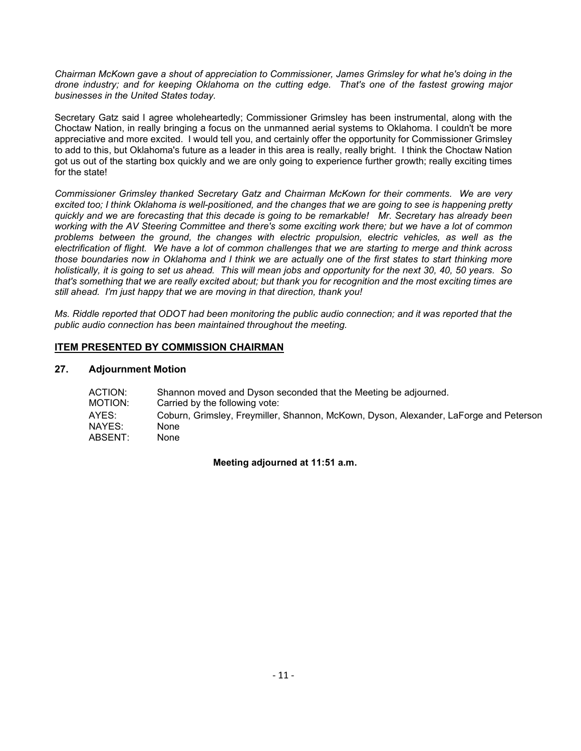*Chairman McKown gave a shout of appreciation to Commissioner, James Grimsley for what he's doing in the drone industry; and for keeping Oklahoma on the cutting edge. That's one of the fastest growing major businesses in the United States today.* 

Secretary Gatz said I agree wholeheartedly; Commissioner Grimsley has been instrumental, along with the Choctaw Nation, in really bringing a focus on the unmanned aerial systems to Oklahoma. I couldn't be more appreciative and more excited. I would tell you, and certainly offer the opportunity for Commissioner Grimsley to add to this, but Oklahoma's future as a leader in this area is really, really bright. I think the Choctaw Nation got us out of the starting box quickly and we are only going to experience further growth; really exciting times for the state!

*Commissioner Grimsley thanked Secretary Gatz and Chairman McKown for their comments. We are very excited too; I think Oklahoma is well-positioned, and the changes that we are going to see is happening pretty quickly and we are forecasting that this decade is going to be remarkable! Mr. Secretary has already been working with the AV Steering Committee and there's some exciting work there; but we have a lot of common problems between the ground, the changes with electric propulsion, electric vehicles, as well as the electrification of flight. We have a lot of common challenges that we are starting to merge and think across those boundaries now in Oklahoma and I think we are actually one of the first states to start thinking more holistically, it is going to set us ahead. This will mean jobs and opportunity for the next 30, 40, 50 years. So that's something that we are really excited about; but thank you for recognition and the most exciting times are still ahead. I'm just happy that we are moving in that direction, thank you!*

*Ms. Riddle reported that ODOT had been monitoring the public audio connection; and it was reported that the public audio connection has been maintained throughout the meeting.*

### **ITEM PRESENTED BY COMMISSION CHAIRMAN**

### **27. Adjournment Motion**

| ACTION: | Shannon moved and Dyson seconded that the Meeting be adjourned.                       |
|---------|---------------------------------------------------------------------------------------|
| MOTION: | Carried by the following vote:                                                        |
| AYES:   | Coburn, Grimsley, Freymiller, Shannon, McKown, Dyson, Alexander, LaForge and Peterson |
| NAYES:  | None                                                                                  |
| ABSENT: | None                                                                                  |

**Meeting adjourned at 11:51 a.m.**